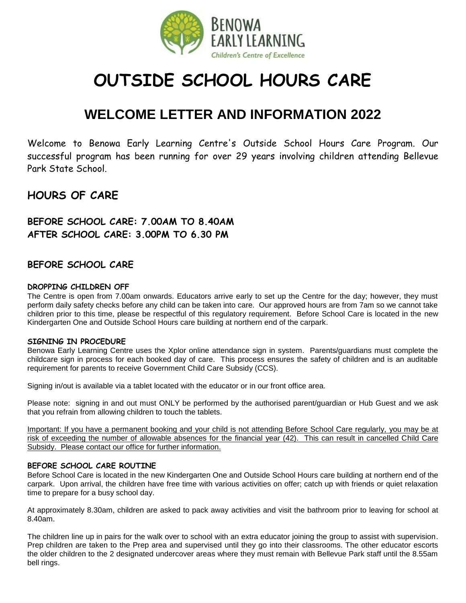

# **OUTSIDE SCHOOL HOURS CARE**

## **WELCOME LETTER AND INFORMATION 2022**

Welcome to Benowa Early Learning Centre's Outside School Hours Care Program. Our successful program has been running for over 29 years involving children attending Bellevue Park State School.

## **HOURS OF CARE**

**BEFORE SCHOOL CARE: 7.00AM TO 8.40AM AFTER SCHOOL CARE: 3.00PM TO 6.30 PM**

### **BEFORE SCHOOL CARE**

#### **DROPPING CHILDREN OFF**

The Centre is open from 7.00am onwards. Educators arrive early to set up the Centre for the day; however, they must perform daily safety checks before any child can be taken into care. Our approved hours are from 7am so we cannot take children prior to this time, please be respectful of this regulatory requirement. Before School Care is located in the new Kindergarten One and Outside School Hours care building at northern end of the carpark.

#### **SIGNING IN PROCEDURE**

Benowa Early Learning Centre uses the Xplor online attendance sign in system. Parents/guardians must complete the childcare sign in process for each booked day of care. This process ensures the safety of children and is an auditable requirement for parents to receive Government Child Care Subsidy (CCS).

Signing in/out is available via a tablet located with the educator or in our front office area.

Please note: signing in and out must ONLY be performed by the authorised parent/guardian or Hub Guest and we ask that you refrain from allowing children to touch the tablets.

Important: If you have a permanent booking and your child is not attending Before School Care regularly, you may be at risk of exceeding the number of allowable absences for the financial year (42). This can result in cancelled Child Care Subsidy. Please contact our office for further information.

#### **BEFORE SCHOOL CARE ROUTINE**

Before School Care is located in the new Kindergarten One and Outside School Hours care building at northern end of the carpark. Upon arrival, the children have free time with various activities on offer; catch up with friends or quiet relaxation time to prepare for a busy school day.

At approximately 8.30am, children are asked to pack away activities and visit the bathroom prior to leaving for school at 8.40am.

The children line up in pairs for the walk over to school with an extra educator joining the group to assist with supervision. Prep children are taken to the Prep area and supervised until they go into their classrooms. The other educator escorts the older children to the 2 designated undercover areas where they must remain with Bellevue Park staff until the 8.55am bell rings.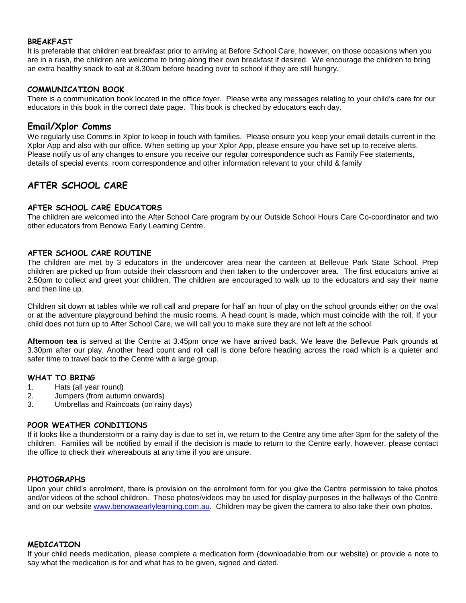#### **BREAKFAST**

It is preferable that children eat breakfast prior to arriving at Before School Care, however, on those occasions when you are in a rush, the children are welcome to bring along their own breakfast if desired. We encourage the children to bring an extra healthy snack to eat at 8.30am before heading over to school if they are still hungry.

#### **COMMUNICATION BOOK**

There is a communication book located in the office foyer. Please write any messages relating to your child's care for our educators in this book in the correct date page. This book is checked by educators each day.

#### **Email/Xplor Comms**

We regularly use Comms in Xplor to keep in touch with families. Please ensure you keep your email details current in the Xplor App and also with our office. When setting up your Xplor App, please ensure you have set up to receive alerts. Please notify us of any changes to ensure you receive our regular correspondence such as Family Fee statements, details of special events, room correspondence and other information relevant to your child & family

## **AFTER SCHOOL CARE**

#### **AFTER SCHOOL CARE EDUCATORS**

The children are welcomed into the After School Care program by our Outside School Hours Care Co-coordinator and two other educators from Benowa Early Learning Centre.

#### **AFTER SCHOOL CARE ROUTINE**

The children are met by 3 educators in the undercover area near the canteen at Bellevue Park State School. Prep children are picked up from outside their classroom and then taken to the undercover area. The first educators arrive at 2.50pm to collect and greet your children. The children are encouraged to walk up to the educators and say their name and then line up.

Children sit down at tables while we roll call and prepare for half an hour of play on the school grounds either on the oval or at the adventure playground behind the music rooms. A head count is made, which must coincide with the roll. If your child does not turn up to After School Care, we will call you to make sure they are not left at the school.

**Afternoon tea** is served at the Centre at 3.45pm once we have arrived back. We leave the Bellevue Park grounds at 3.30pm after our play. Another head count and roll call is done before heading across the road which is a quieter and safer time to travel back to the Centre with a large group.

#### **WHAT TO BRING**

- 1. Hats (all year round)
- 2. Jumpers (from autumn onwards)
- 3. Umbrellas and Raincoats (on rainy days)

#### **POOR WEATHER CONDITIONS**

If it looks like a thunderstorm or a rainy day is due to set in, we return to the Centre any time after 3pm for the safety of the children. Families will be notified by email if the decision is made to return to the Centre early, however, please contact the office to check their whereabouts at any time if you are unsure.

#### **PHOTOGRAPHS**

Upon your child's enrolment, there is provision on the enrolment form for you give the Centre permission to take photos and/or videos of the school children. These photos/videos may be used for display purposes in the hallways of the Centre and on our website [www.benowaearlylearning.com.au.](http://www.benowaearlylearning.com.au/) Children may be given the camera to also take their own photos.

#### **MEDICATION**

If your child needs medication, please complete a medication form (downloadable from our website) or provide a note to say what the medication is for and what has to be given, signed and dated.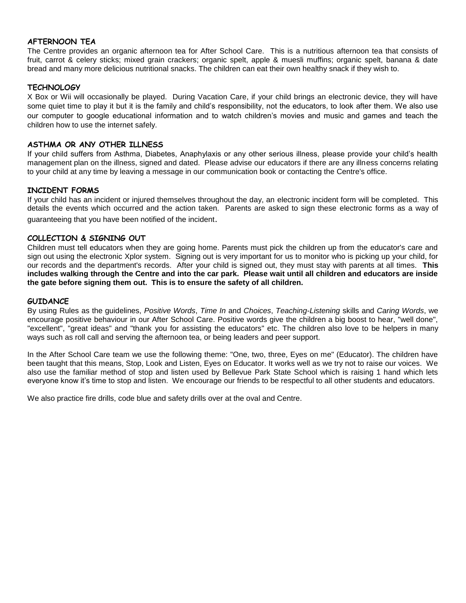#### **AFTERNOON TEA**

The Centre provides an organic afternoon tea for After School Care. This is a nutritious afternoon tea that consists of fruit, carrot & celery sticks; mixed grain crackers; organic spelt, apple & muesli muffins; organic spelt, banana & date bread and many more delicious nutritional snacks. The children can eat their own healthy snack if they wish to.

#### **TECHNOLOGY**

X Box or Wii will occasionally be played. During Vacation Care, if your child brings an electronic device, they will have some quiet time to play it but it is the family and child's responsibility, not the educators, to look after them. We also use our computer to google educational information and to watch children's movies and music and games and teach the children how to use the internet safely.

#### **ASTHMA OR ANY OTHER ILLNESS**

If your child suffers from Asthma, Diabetes, Anaphylaxis or any other serious illness, please provide your child's health management plan on the illness, signed and dated. Please advise our educators if there are any illness concerns relating to your child at any time by leaving a message in our communication book or contacting the Centre's office.

#### **INCIDENT FORMS**

If your child has an incident or injured themselves throughout the day, an electronic incident form will be completed. This details the events which occurred and the action taken. Parents are asked to sign these electronic forms as a way of guaranteeing that you have been notified of the incident.

#### **COLLECTION & SIGNING OUT**

Children must tell educators when they are going home. Parents must pick the children up from the educator's care and sign out using the electronic Xplor system. Signing out is very important for us to monitor who is picking up your child, for our records and the department's records. After your child is signed out, they must stay with parents at all times. **This includes walking through the Centre and into the car park. Please wait until all children and educators are inside the gate before signing them out. This is to ensure the safety of all children.**

#### **GUIDANCE**

By using Rules as the guidelines, *Positive Words*, *Time In* and *Choices*, *Teaching-Listening* skills and *Caring Words*, we encourage positive behaviour in our After School Care. Positive words give the children a big boost to hear, "well done", "excellent", "great ideas" and "thank you for assisting the educators" etc. The children also love to be helpers in many ways such as roll call and serving the afternoon tea, or being leaders and peer support.

In the After School Care team we use the following theme: "One, two, three, Eyes on me" (Educator). The children have been taught that this means, Stop, Look and Listen, Eyes on Educator. It works well as we try not to raise our voices. We also use the familiar method of stop and listen used by Bellevue Park State School which is raising 1 hand which lets everyone know it's time to stop and listen. We encourage our friends to be respectful to all other students and educators.

We also practice fire drills, code blue and safety drills over at the oval and Centre.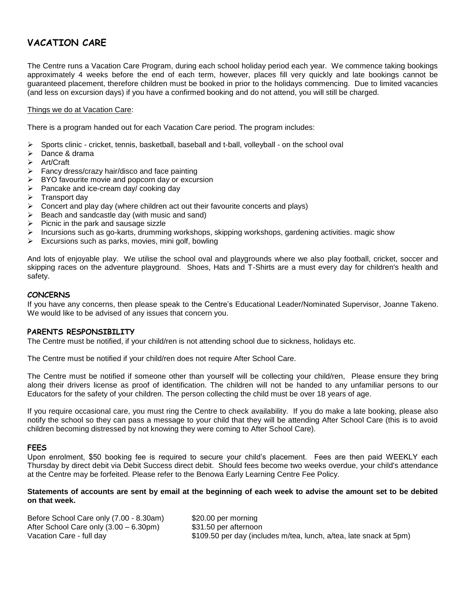## **VACATION CARE**

The Centre runs a Vacation Care Program, during each school holiday period each year. We commence taking bookings approximately 4 weeks before the end of each term, however, places fill very quickly and late bookings cannot be guaranteed placement, therefore children must be booked in prior to the holidays commencing. Due to limited vacancies (and less on excursion days) if you have a confirmed booking and do not attend, you will still be charged.

#### Things we do at Vacation Care:

There is a program handed out for each Vacation Care period. The program includes:

- $\triangleright$  Sports clinic cricket, tennis, basketball, baseball and t-ball, volleyball on the school oval
- > Dance & drama
- Art/Craft
- Fancy dress/crazy hair/disco and face painting
- BYO favourite movie and popcorn day or excursion
- Pancake and ice-cream day/ cooking day
- $\triangleright$  Transport day
- $\triangleright$  Concert and play day (where children act out their favourite concerts and plays)
- Beach and sandcastle day (with music and sand)
- $\triangleright$  Picnic in the park and sausage sizzle
- Incursions such as go-karts, drumming workshops, skipping workshops, gardening activities. magic show
- $\triangleright$  Excursions such as parks, movies, mini golf, bowling

And lots of enjoyable play. We utilise the school oval and playgrounds where we also play football, cricket, soccer and skipping races on the adventure playground. Shoes, Hats and T-Shirts are a must every day for children's health and safety.

#### **CONCERNS**

If you have any concerns, then please speak to the Centre's Educational Leader/Nominated Supervisor, Joanne Takeno. We would like to be advised of any issues that concern you.

#### **PARENTS RESPONSIBILITY**

The Centre must be notified, if your child/ren is not attending school due to sickness, holidays etc.

The Centre must be notified if your child/ren does not require After School Care.

The Centre must be notified if someone other than yourself will be collecting your child/ren, Please ensure they bring along their drivers license as proof of identification. The children will not be handed to any unfamiliar persons to our Educators for the safety of your children. The person collecting the child must be over 18 years of age.

If you require occasional care, you must ring the Centre to check availability. If you do make a late booking, please also notify the school so they can pass a message to your child that they will be attending After School Care (this is to avoid children becoming distressed by not knowing they were coming to After School Care).

#### **FEES**

Upon enrolment, \$50 booking fee is required to secure your child's placement. Fees are then paid WEEKLY each Thursday by direct debit via Debit Success direct debit. Should fees become two weeks overdue, your child's attendance at the Centre may be forfeited. Please refer to the Benowa Early Learning Centre Fee Policy.

#### **Statements of accounts are sent by email at the beginning of each week to advise the amount set to be debited on that week.**

| Before School Care only (7.00 - 8.30am) | \$20.00 per morning                                                |
|-----------------------------------------|--------------------------------------------------------------------|
| After School Care only (3.00 – 6.30pm)  | \$31.50 per afternoon                                              |
| Vacation Care - full day                | \$109.50 per day (includes m/tea, lunch, a/tea, late snack at 5pm) |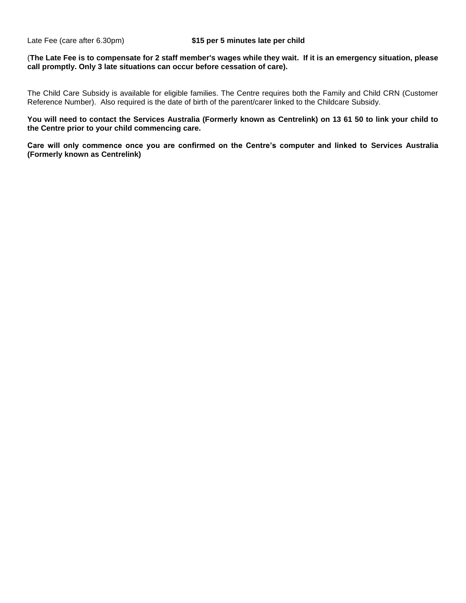#### (**The Late Fee is to compensate for 2 staff member's wages while they wait. If it is an emergency situation, please call promptly. Only 3 late situations can occur before cessation of care).**

The Child Care Subsidy is available for eligible families. The Centre requires both the Family and Child CRN (Customer Reference Number). Also required is the date of birth of the parent/carer linked to the Childcare Subsidy.

**You will need to contact the Services Australia (Formerly known as Centrelink) on 13 61 50 to link your child to the Centre prior to your child commencing care.**

**Care will only commence once you are confirmed on the Centre's computer and linked to Services Australia (Formerly known as Centrelink)**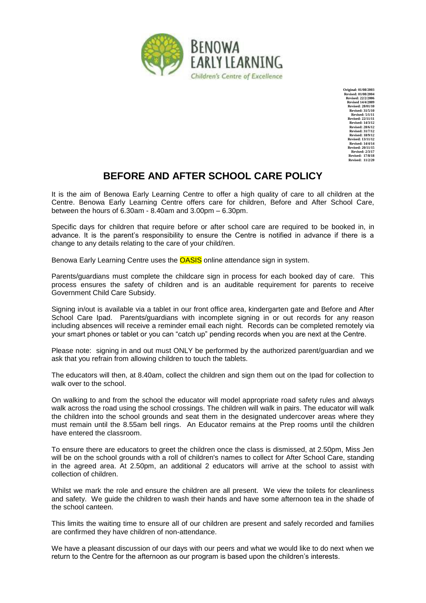

**Original: 01/08/2003 Revised: 01/08/2004 Revised: 22/2/2006 Revised 14/4/2009 Revised: 28/01/10 Revised: 31/5/10 Revised: 5/1/11 Revised: 22/11/11 Revised: 14/3/12 Revised: 28/6/12 Revised: 31/7/12 Revised: 18/9/12 Revised: 13/11/12 Revised: 14/4/14 Revised: 20/11/15 Revised: 2/3/17 Revised: 17/8/18 Revised: 11/2/20**

## **BEFORE AND AFTER SCHOOL CARE POLICY**

It is the aim of Benowa Early Learning Centre to offer a high quality of care to all children at the Centre. Benowa Early Learning Centre offers care for children, Before and After School Care, between the hours of 6.30am - 8.40am and 3.00pm – 6.30pm.

Specific days for children that require before or after school care are required to be booked in, in advance. It is the parent's responsibility to ensure the Centre is notified in advance if there is a change to any details relating to the care of your child/ren.

Benowa Early Learning Centre uses the **OASIS** online attendance sign in system.

Parents/guardians must complete the childcare sign in process for each booked day of care. This process ensures the safety of children and is an auditable requirement for parents to receive Government Child Care Subsidy.

Signing in/out is available via a tablet in our front office area, kindergarten gate and Before and After School Care Ipad. Parents/guardians with incomplete signing in or out records for any reason including absences will receive a reminder email each night. Records can be completed remotely via your smart phones or tablet or you can "catch up" pending records when you are next at the Centre.

Please note: signing in and out must ONLY be performed by the authorized parent/guardian and we ask that you refrain from allowing children to touch the tablets.

The educators will then, at 8.40am, collect the children and sign them out on the Ipad for collection to walk over to the school.

On walking to and from the school the educator will model appropriate road safety rules and always walk across the road using the school crossings. The children will walk in pairs. The educator will walk the children into the school grounds and seat them in the designated undercover areas where they must remain until the 8.55am bell rings. An Educator remains at the Prep rooms until the children have entered the classroom.

To ensure there are educators to greet the children once the class is dismissed, at 2.50pm, Miss Jen will be on the school grounds with a roll of children's names to collect for After School Care, standing in the agreed area. At 2.50pm, an additional 2 educators will arrive at the school to assist with collection of children.

Whilst we mark the role and ensure the children are all present. We view the toilets for cleanliness and safety. We guide the children to wash their hands and have some afternoon tea in the shade of the school canteen.

This limits the waiting time to ensure all of our children are present and safely recorded and families are confirmed they have children of non-attendance.

We have a pleasant discussion of our days with our peers and what we would like to do next when we return to the Centre for the afternoon as our program is based upon the children's interests.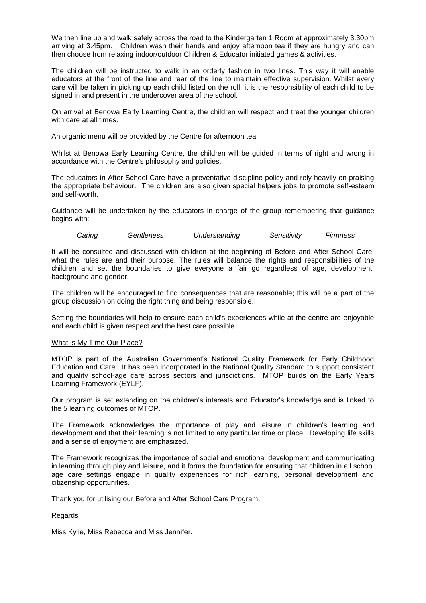We then line up and walk safely across the road to the Kindergarten 1 Room at approximately 3.30pm arriving at 3.45pm. Children wash their hands and enjoy afternoon tea if they are hungry and can then choose from relaxing indoor/outdoor Children & Educator initiated games & activities.

The children will be instructed to walk in an orderly fashion in two lines. This way it will enable educators at the front of the line and rear of the line to maintain effective supervision. Whilst every care will be taken in picking up each child listed on the roll, it is the responsibility of each child to be signed in and present in the undercover area of the school.

On arrival at Benowa Early Learning Centre, the children will respect and treat the younger children with care at all times.

An organic menu will be provided by the Centre for afternoon tea.

Whilst at Benowa Early Learning Centre, the children will be guided in terms of right and wrong in accordance with the Centre's philosophy and policies.

The educators in After School Care have a preventative discipline policy and rely heavily on praising the appropriate behaviour. The children are also given special helpers jobs to promote self-esteem and self-worth.

Guidance will be undertaken by the educators in charge of the group remembering that guidance begins with:

*Caring Gentleness Understanding Sensitivity Firmness*

It will be consulted and discussed with children at the beginning of Before and After School Care, what the rules are and their purpose. The rules will balance the rights and responsibilities of the children and set the boundaries to give everyone a fair go regardless of age, development, background and gender.

The children will be encouraged to find consequences that are reasonable; this will be a part of the group discussion on doing the right thing and being responsible.

Setting the boundaries will help to ensure each child's experiences while at the centre are enjoyable and each child is given respect and the best care possible.

#### What is My Time Our Place?

MTOP is part of the Australian Government's National Quality Framework for Early Childhood Education and Care. It has been incorporated in the National Quality Standard to support consistent and quality school-age care across sectors and jurisdictions. MTOP builds on the Early Years Learning Framework (EYLF).

Our program is set extending on the children's interests and Educator's knowledge and is linked to the 5 learning outcomes of MTOP.

The Framework acknowledges the importance of play and leisure in children's learning and development and that their learning is not limited to any particular time or place. Developing life skills and a sense of enjoyment are emphasized.

The Framework recognizes the importance of social and emotional development and communicating in learning through play and leisure, and it forms the foundation for ensuring that children in all school age care settings engage in quality experiences for rich learning, personal development and citizenship opportunities.

Thank you for utilising our Before and After School Care Program.

#### Regards

Miss Kylie, Miss Rebecca and Miss Jennifer.